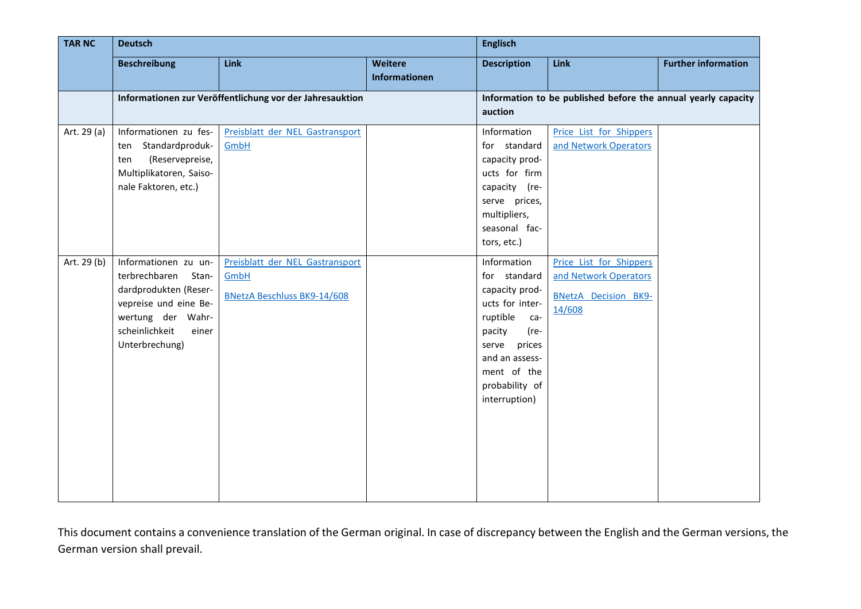| <b>TAR NC</b> | <b>Deutsch</b>                                                                                                                                                     |                                                                               |                                 | <b>Englisch</b>                                                                                                                                                                              |                                                                                           |                            |
|---------------|--------------------------------------------------------------------------------------------------------------------------------------------------------------------|-------------------------------------------------------------------------------|---------------------------------|----------------------------------------------------------------------------------------------------------------------------------------------------------------------------------------------|-------------------------------------------------------------------------------------------|----------------------------|
|               | <b>Beschreibung</b>                                                                                                                                                | Link                                                                          | <b>Weitere</b><br>Informationen | <b>Description</b>                                                                                                                                                                           | Link                                                                                      | <b>Further information</b> |
|               |                                                                                                                                                                    | Informationen zur Veröffentlichung vor der Jahresauktion                      |                                 | Information to be published before the annual yearly capacity<br>auction                                                                                                                     |                                                                                           |                            |
| Art. 29 (a)   | Informationen zu fes-<br>ten Standardproduk-<br>(Reservepreise,<br>ten<br>Multiplikatoren, Saiso-<br>nale Faktoren, etc.)                                          | Preisblatt der NEL Gastransport<br>GmbH                                       |                                 | Information<br>for standard<br>capacity prod-<br>ucts for firm<br>capacity (re-<br>serve prices,<br>multipliers,<br>seasonal fac-<br>tors, etc.)                                             | Price List for Shippers<br>and Network Operators                                          |                            |
| Art. 29 (b)   | Informationen zu un-<br>terbrechbaren<br>Stan-<br>dardprodukten (Reser-<br>vepreise und eine Be-<br>wertung der Wahr-<br>scheinlichkeit<br>einer<br>Unterbrechung) | Preisblatt der NEL Gastransport<br>GmbH<br><b>BNetzA Beschluss BK9-14/608</b> |                                 | Information<br>for standard<br>capacity prod-<br>ucts for inter-<br>ruptible<br>ca-<br>pacity<br>(re-<br>serve<br>prices<br>and an assess-<br>ment of the<br>probability of<br>interruption) | Price List for Shippers<br>and Network Operators<br><b>BNetzA Decision BK9-</b><br>14/608 |                            |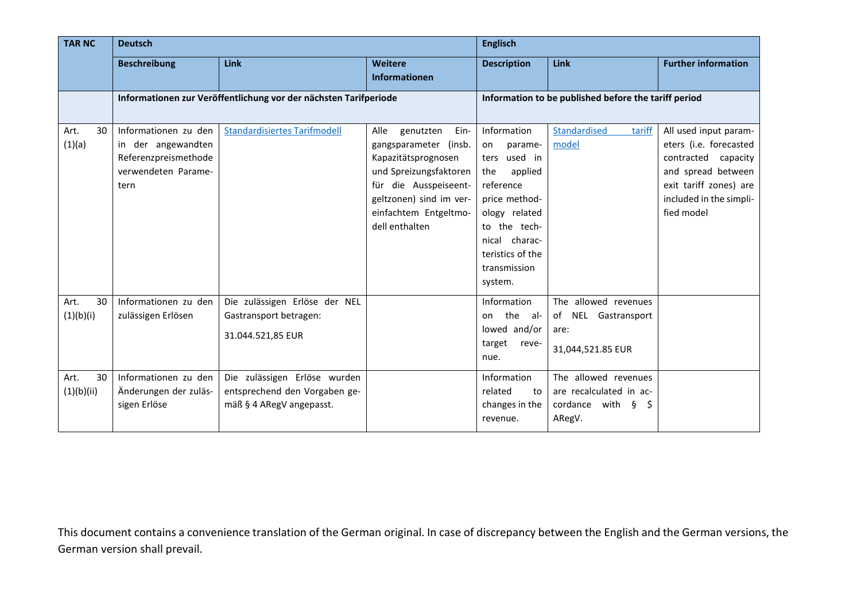| <b>TAR NC</b>            | <b>Deutsch</b>                                                                                    |                                                                                           |                                                                                                                                                                                                    | <b>Englisch</b>                                                                                                                                                                               |                                                                                    |                                                                                                                                                                 |
|--------------------------|---------------------------------------------------------------------------------------------------|-------------------------------------------------------------------------------------------|----------------------------------------------------------------------------------------------------------------------------------------------------------------------------------------------------|-----------------------------------------------------------------------------------------------------------------------------------------------------------------------------------------------|------------------------------------------------------------------------------------|-----------------------------------------------------------------------------------------------------------------------------------------------------------------|
|                          | <b>Beschreibung</b>                                                                               | <b>Link</b>                                                                               | Weitere<br><b>Informationen</b>                                                                                                                                                                    | <b>Description</b>                                                                                                                                                                            | <b>Link</b>                                                                        | <b>Further information</b>                                                                                                                                      |
|                          | Informationen zur Veröffentlichung vor der nächsten Tarifperiode                                  |                                                                                           |                                                                                                                                                                                                    | Information to be published before the tariff period                                                                                                                                          |                                                                                    |                                                                                                                                                                 |
| 30<br>Art.<br>(1)(a)     | Informationen zu den<br>in der angewandten<br>Referenzpreismethode<br>verwendeten Parame-<br>tern | <b>Standardisiertes Tarifmodell</b>                                                       | genutzten<br>Alle<br>Ein-<br>gangsparameter (insb.<br>Kapazitätsprognosen<br>und Spreizungsfaktoren<br>für die Ausspeiseent-<br>geltzonen) sind im ver-<br>einfachtem Entgeltmo-<br>dell enthalten | Information<br>on<br>parame-<br>ters used in<br>the<br>applied<br>reference<br>price method-<br>ology related<br>to the tech-<br>nical charac-<br>teristics of the<br>transmission<br>system. | Standardised<br>tariff<br>model                                                    | All used input param-<br>eters (i.e. forecasted<br>contracted capacity<br>and spread between<br>exit tariff zones) are<br>included in the simpli-<br>fied model |
| Art.<br>30<br>(1)(b)(i)  | Informationen zu den<br>zulässigen Erlösen                                                        | Die zulässigen Erlöse der NEL<br>Gastransport betragen:<br>31.044.521,85 EUR              |                                                                                                                                                                                                    | Information<br>the al-<br>on<br>lowed and/or<br>target<br>reve-<br>nue.                                                                                                                       | The allowed revenues<br>of NEL Gastransport<br>are:<br>31,044,521.85 EUR           |                                                                                                                                                                 |
| Art.<br>30<br>(1)(b)(ii) | Informationen zu den<br>Änderungen der zuläs-<br>sigen Erlöse                                     | Die zulässigen Erlöse wurden<br>entsprechend den Vorgaben ge-<br>mäß § 4 ARegV angepasst. |                                                                                                                                                                                                    | Information<br>related<br>to<br>changes in the<br>revenue.                                                                                                                                    | The allowed revenues<br>are recalculated in ac-<br>cordance with $\S$ \$<br>ARegV. |                                                                                                                                                                 |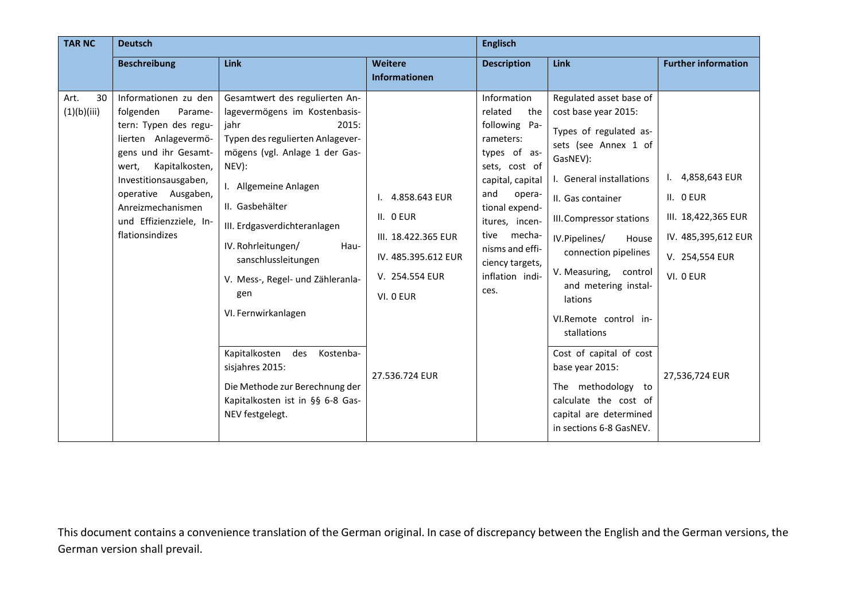| <b>TAR NC</b>             | <b>Deutsch</b>                                                                                                                                                                                                                                                      |                                                                                                                                                                                                                                                                                                                                                                                                                                                                                                                  |                                                                                                                              | <b>Englisch</b>                                                                                                                                                                                                                                          |                                                                                                                                                                                                                                                                                                                                                                                                                                                                                                    |                                                                                                                                   |
|---------------------------|---------------------------------------------------------------------------------------------------------------------------------------------------------------------------------------------------------------------------------------------------------------------|------------------------------------------------------------------------------------------------------------------------------------------------------------------------------------------------------------------------------------------------------------------------------------------------------------------------------------------------------------------------------------------------------------------------------------------------------------------------------------------------------------------|------------------------------------------------------------------------------------------------------------------------------|----------------------------------------------------------------------------------------------------------------------------------------------------------------------------------------------------------------------------------------------------------|----------------------------------------------------------------------------------------------------------------------------------------------------------------------------------------------------------------------------------------------------------------------------------------------------------------------------------------------------------------------------------------------------------------------------------------------------------------------------------------------------|-----------------------------------------------------------------------------------------------------------------------------------|
|                           | <b>Beschreibung</b>                                                                                                                                                                                                                                                 | <b>Link</b>                                                                                                                                                                                                                                                                                                                                                                                                                                                                                                      | Weitere<br>Informationen                                                                                                     | <b>Description</b>                                                                                                                                                                                                                                       | Link                                                                                                                                                                                                                                                                                                                                                                                                                                                                                               | <b>Further information</b>                                                                                                        |
| 30<br>Art.<br>(1)(b)(iii) | Informationen zu den<br>folgenden<br>Parame-<br>tern: Typen des regu-<br>lierten Anlagevermö-<br>gens und ihr Gesamt-<br>Kapitalkosten,<br>wert,<br>Investitionsausgaben,<br>operative Ausgaben,<br>Anreizmechanismen<br>und Effizienzziele, In-<br>flationsindizes | Gesamtwert des regulierten An-<br>lagevermögens im Kostenbasis-<br>jahr<br>2015:<br>Typen des regulierten Anlagever-<br>mögens (vgl. Anlage 1 der Gas-<br>NEV):<br>I. Allgemeine Anlagen<br>II. Gasbehälter<br>III. Erdgasverdichteranlagen<br>IV. Rohrleitungen/<br>Hau-<br>sanschlussleitungen<br>V. Mess-, Regel- und Zähleranla-<br>gen<br>VI. Fernwirkanlagen<br>Kapitalkosten des<br>Kostenba-<br>sisjahres 2015:<br>Die Methode zur Berechnung der<br>Kapitalkosten ist in §§ 6-8 Gas-<br>NEV festgelegt. | I. 4.858.643 EUR<br>II. O EUR<br>III. 18.422.365 EUR<br>IV. 485.395.612 EUR<br>V. 254.554 EUR<br>VI. 0 EUR<br>27.536.724 EUR | Information<br>related<br>the<br>following Pa-<br>rameters:<br>types of as-<br>sets, cost of<br>capital, capital<br>and<br>opera-<br>tional expend-<br>itures, incen-<br>mecha-<br>tive<br>nisms and effi-<br>ciency targets,<br>inflation indi-<br>ces. | Regulated asset base of<br>cost base year 2015:<br>Types of regulated as-<br>sets (see Annex 1 of<br>GasNEV):<br>I. General installations<br>II. Gas container<br>III. Compressor stations<br>IV.Pipelines/<br>House<br>connection pipelines<br>V. Measuring, control<br>and metering instal-<br>lations<br>VI.Remote control in-<br>stallations<br>Cost of capital of cost<br>base year 2015:<br>The methodology to<br>calculate the cost of<br>capital are determined<br>in sections 6-8 GasNEV. | 4,858,643 EUR<br>I. .<br>II. O EUR<br>III. 18,422,365 EUR<br>IV. 485,395,612 EUR<br>V. 254,554 EUR<br>VI. 0 EUR<br>27,536,724 EUR |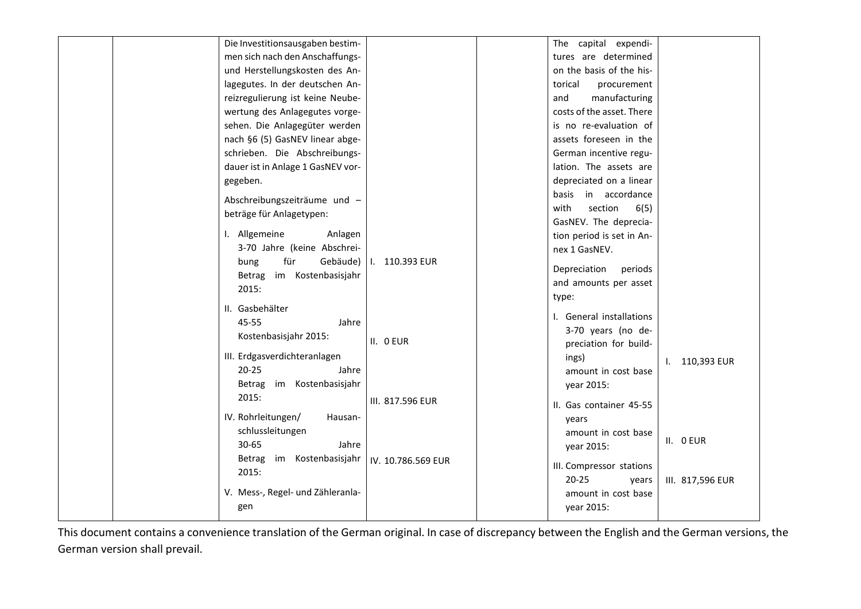| Die Investitionsausgaben bestim-               |                  | The capital expendi-      |                  |
|------------------------------------------------|------------------|---------------------------|------------------|
| men sich nach den Anschaffungs-                |                  | tures are determined      |                  |
| und Herstellungskosten des An-                 |                  | on the basis of the his-  |                  |
| lagegutes. In der deutschen An-                |                  | torical<br>procurement    |                  |
| reizregulierung ist keine Neube-               |                  | and<br>manufacturing      |                  |
| wertung des Anlagegutes vorge-                 |                  | costs of the asset. There |                  |
| sehen. Die Anlagegüter werden                  |                  | is no re-evaluation of    |                  |
| nach §6 (5) GasNEV linear abge-                |                  | assets foreseen in the    |                  |
| schrieben. Die Abschreibungs-                  |                  | German incentive regu-    |                  |
| dauer ist in Anlage 1 GasNEV vor-              |                  | lation. The assets are    |                  |
| gegeben.                                       |                  | depreciated on a linear   |                  |
| Abschreibungszeiträume und -                   |                  | basis in accordance       |                  |
| beträge für Anlagetypen:                       |                  | with<br>section<br>6(5)   |                  |
|                                                |                  | GasNEV. The deprecia-     |                  |
| I. Allgemeine<br>Anlagen                       |                  | tion period is set in An- |                  |
| 3-70 Jahre (keine Abschrei-                    |                  | nex 1 GasNEV.             |                  |
| für<br>Gebäude)<br>bung                        | I. 110.393 EUR   | Depreciation<br>periods   |                  |
| im Kostenbasisjahr<br>Betrag                   |                  | and amounts per asset     |                  |
| 2015:                                          |                  | type:                     |                  |
| II. Gasbehälter                                |                  |                           |                  |
| 45-55<br>Jahre                                 |                  | I. General installations  |                  |
| Kostenbasisjahr 2015:                          |                  | 3-70 years (no de-        |                  |
|                                                | II. O EUR        | preciation for build-     |                  |
| III. Erdgasverdichteranlagen                   |                  | ings)                     | I. 110,393 EUR   |
| $20 - 25$<br>Jahre                             |                  | amount in cost base       |                  |
| Betrag im Kostenbasisjahr                      |                  | year 2015:                |                  |
| 2015:                                          | III. 817.596 EUR | II. Gas container 45-55   |                  |
| IV. Rohrleitungen/<br>Hausan-                  |                  | years                     |                  |
| schlussleitungen                               |                  | amount in cost base       |                  |
| $30 - 65$<br>Jahre                             |                  | year 2015:                | II. O EUR        |
| Betrag im Kostenbasisjahr   IV. 10.786.569 EUR |                  |                           |                  |
| 2015:                                          |                  | III. Compressor stations  |                  |
| V. Mess-, Regel- und Zähleranla-               |                  | $20 - 25$<br>years        | III. 817,596 EUR |
| gen                                            |                  | amount in cost base       |                  |
|                                                |                  | year 2015:                |                  |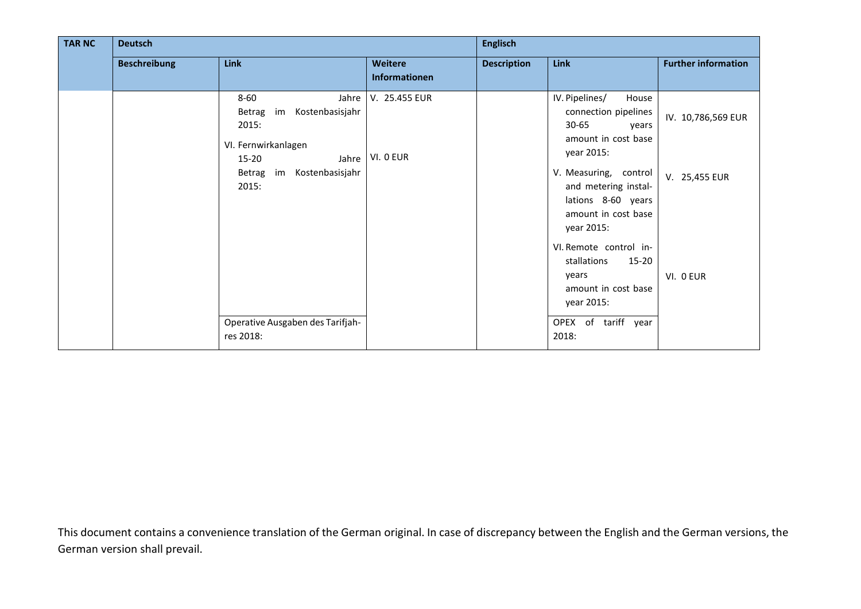| <b>TAR NC</b> | <b>Deutsch</b>      |                                                                                                                                                                    |                                    | <b>Englisch</b>    |                                                                                                                                                                                                                                                                                                                                               |                                                  |  |
|---------------|---------------------|--------------------------------------------------------------------------------------------------------------------------------------------------------------------|------------------------------------|--------------------|-----------------------------------------------------------------------------------------------------------------------------------------------------------------------------------------------------------------------------------------------------------------------------------------------------------------------------------------------|--------------------------------------------------|--|
|               | <b>Beschreibung</b> | Link                                                                                                                                                               | <b>Weitere</b><br>Informationen    | <b>Description</b> | Link                                                                                                                                                                                                                                                                                                                                          | <b>Further information</b>                       |  |
|               |                     | 8-60<br>Jahre  <br>im Kostenbasisjahr<br>Betrag<br>2015:<br>VI. Fernwirkanlagen<br>15-20<br>Betrag im Kostenbasisjahr<br>2015:<br>Operative Ausgaben des Tarifjah- | V. 25.455 EUR<br>Jahre   VI. 0 EUR |                    | IV. Pipelines/<br>House<br>connection pipelines<br>$30 - 65$<br>years<br>amount in cost base<br>year 2015:<br>V. Measuring, control<br>and metering instal-<br>lations 8-60 years<br>amount in cost base<br>year 2015:<br>VI. Remote control in-<br>stallations<br>15-20<br>years<br>amount in cost base<br>year 2015:<br>OPEX of tariff year | IV. 10,786,569 EUR<br>V. 25,455 EUR<br>VI. O EUR |  |
|               |                     | res 2018:                                                                                                                                                          |                                    |                    | 2018:                                                                                                                                                                                                                                                                                                                                         |                                                  |  |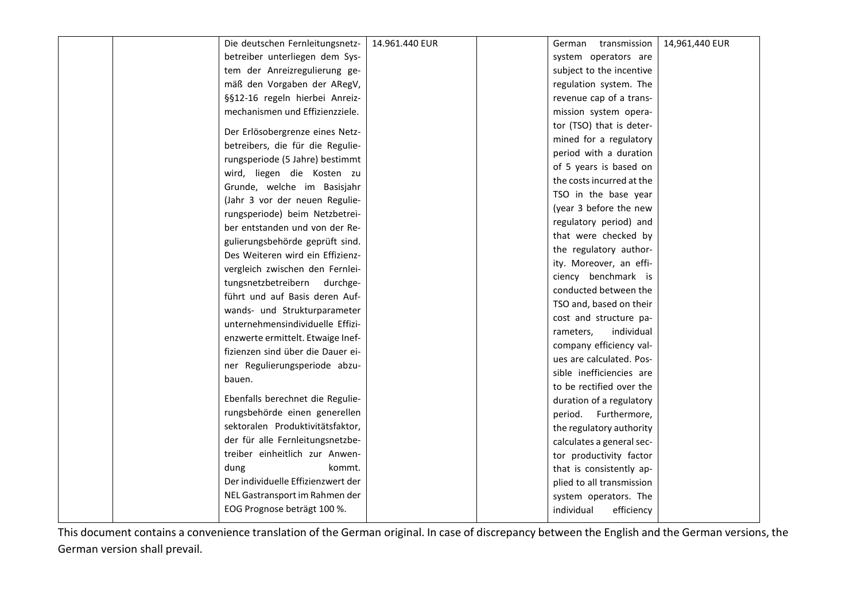| Die deutschen Fernleitungsnetz-    | 14.961.440 EUR | German transmission       | 14,961,440 EUR |
|------------------------------------|----------------|---------------------------|----------------|
| betreiber unterliegen dem Sys-     |                | system operators are      |                |
| tem der Anreizregulierung ge-      |                | subject to the incentive  |                |
| mäß den Vorgaben der ARegV,        |                | regulation system. The    |                |
| §§12-16 regeln hierbei Anreiz-     |                | revenue cap of a trans-   |                |
| mechanismen und Effizienzziele.    |                | mission system opera-     |                |
| Der Erlösobergrenze eines Netz-    |                | tor (TSO) that is deter-  |                |
| betreibers, die für die Regulie-   |                | mined for a regulatory    |                |
| rungsperiode (5 Jahre) bestimmt    |                | period with a duration    |                |
| wird, liegen die Kosten zu         |                | of 5 years is based on    |                |
| Grunde, welche im Basisjahr        |                | the costs incurred at the |                |
| (Jahr 3 vor der neuen Regulie-     |                | TSO in the base year      |                |
| rungsperiode) beim Netzbetrei-     |                | (year 3 before the new    |                |
| ber entstanden und von der Re-     |                | regulatory period) and    |                |
| gulierungsbehörde geprüft sind.    |                | that were checked by      |                |
| Des Weiteren wird ein Effizienz-   |                | the regulatory author-    |                |
| vergleich zwischen den Fernlei-    |                | ity. Moreover, an effi-   |                |
| tungsnetzbetreibern durchge-       |                | ciency benchmark is       |                |
| führt und auf Basis deren Auf-     |                | conducted between the     |                |
| wands- und Strukturparameter       |                | TSO and, based on their   |                |
| unternehmensindividuelle Effizi-   |                | cost and structure pa-    |                |
| enzwerte ermittelt. Etwaige Inef-  |                | individual<br>rameters,   |                |
| fizienzen sind über die Dauer ei-  |                | company efficiency val-   |                |
| ner Regulierungsperiode abzu-      |                | ues are calculated. Pos-  |                |
| bauen.                             |                | sible inefficiencies are  |                |
|                                    |                | to be rectified over the  |                |
| Ebenfalls berechnet die Regulie-   |                | duration of a regulatory  |                |
| rungsbehörde einen generellen      |                | Furthermore,<br>period.   |                |
| sektoralen Produktivitätsfaktor,   |                | the regulatory authority  |                |
| der für alle Fernleitungsnetzbe-   |                | calculates a general sec- |                |
| treiber einheitlich zur Anwen-     |                | tor productivity factor   |                |
| dung<br>kommt.                     |                | that is consistently ap-  |                |
| Der individuelle Effizienzwert der |                | plied to all transmission |                |
| NEL Gastransport im Rahmen der     |                | system operators. The     |                |
| EOG Prognose beträgt 100 %.        |                | efficiency<br>individual  |                |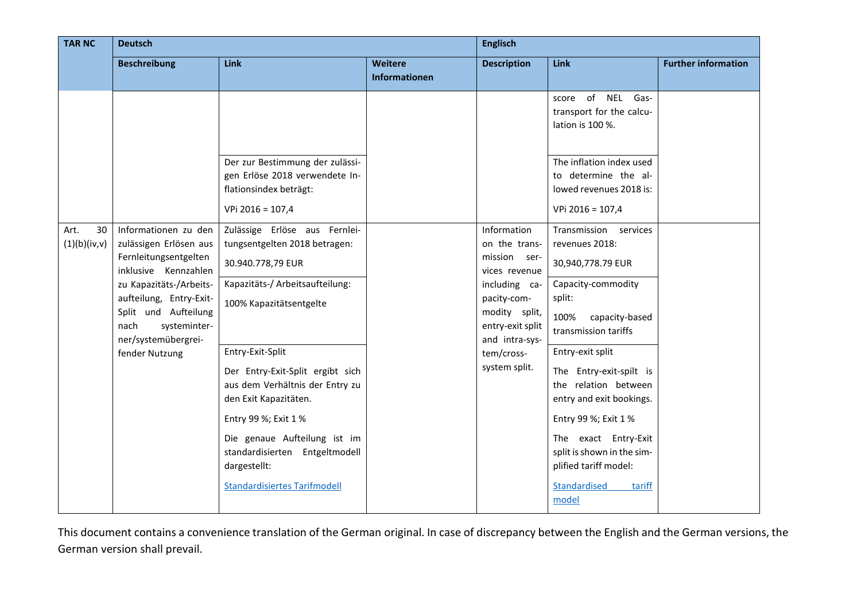| <b>TAR NC</b>              | <b>Deutsch</b>                                                                                                                                                                                        | <b>Englisch</b>                                                                                                                                                                                                                                                   |                          |                                                                                                                                    |                                                                                                                                                                                                                                           |                            |
|----------------------------|-------------------------------------------------------------------------------------------------------------------------------------------------------------------------------------------------------|-------------------------------------------------------------------------------------------------------------------------------------------------------------------------------------------------------------------------------------------------------------------|--------------------------|------------------------------------------------------------------------------------------------------------------------------------|-------------------------------------------------------------------------------------------------------------------------------------------------------------------------------------------------------------------------------------------|----------------------------|
|                            | <b>Beschreibung</b>                                                                                                                                                                                   | <b>Link</b>                                                                                                                                                                                                                                                       | Weitere<br>Informationen | <b>Description</b>                                                                                                                 | Link                                                                                                                                                                                                                                      | <b>Further information</b> |
|                            |                                                                                                                                                                                                       | Der zur Bestimmung der zulässi-<br>gen Erlöse 2018 verwendete In-                                                                                                                                                                                                 |                          |                                                                                                                                    | score of NEL Gas-<br>transport for the calcu-<br>lation is 100 %.<br>The inflation index used<br>to determine the al-                                                                                                                     |                            |
|                            |                                                                                                                                                                                                       | flationsindex beträgt:<br>VPi 2016 = 107,4                                                                                                                                                                                                                        |                          |                                                                                                                                    | lowed revenues 2018 is:<br>VPi 2016 = 107,4                                                                                                                                                                                               |                            |
| Art.<br>30<br>(1)(b)(iv,v) | Informationen zu den<br>zulässigen Erlösen aus<br>Fernleitungsentgelten<br>inklusive Kennzahlen<br>zu Kapazitäts-/Arbeits-<br>aufteilung, Entry-Exit-<br>Split und Aufteilung<br>nach<br>systeminter- | Zulässige Erlöse aus Fernlei-<br>tungsentgelten 2018 betragen:<br>30.940.778,79 EUR<br>Kapazitäts-/ Arbeitsaufteilung:<br>100% Kapazitätsentgelte                                                                                                                 |                          | Information<br>on the trans-<br>mission ser-<br>vices revenue<br>including ca-<br>pacity-com-<br>modity split,<br>entry-exit split | Transmission services<br>revenues 2018:<br>30,940,778.79 EUR<br>Capacity-commodity<br>split:<br>100%<br>capacity-based<br>transmission tariffs                                                                                            |                            |
|                            | ner/systemübergrei-<br>fender Nutzung                                                                                                                                                                 | Entry-Exit-Split<br>Der Entry-Exit-Split ergibt sich<br>aus dem Verhältnis der Entry zu<br>den Exit Kapazitäten.<br>Entry 99 %; Exit 1 %<br>Die genaue Aufteilung ist im<br>standardisierten Entgeltmodell<br>dargestellt:<br><b>Standardisiertes Tarifmodell</b> |                          | and intra-sys-<br>tem/cross-<br>system split.                                                                                      | Entry-exit split<br>The Entry-exit-spilt is<br>the relation between<br>entry and exit bookings.<br>Entry 99 %; Exit 1 %<br>The exact Entry-Exit<br>split is shown in the sim-<br>plified tariff model:<br>Standardised<br>tariff<br>model |                            |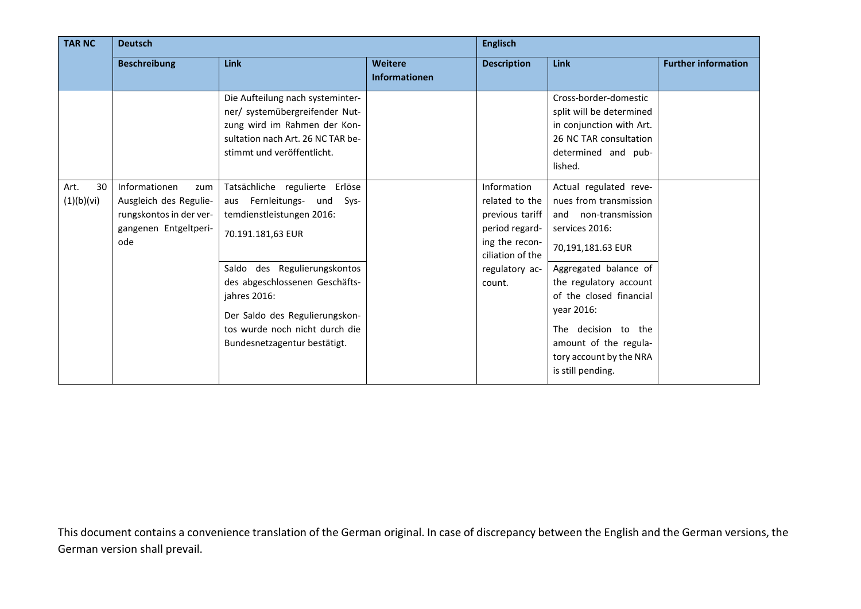| <b>TAR NC</b>            | <b>Deutsch</b>                                                                                            |                                                                                                                                                                                                                                                                                                      |                                        | <b>Englisch</b>                                                                                                                      |                                                                                                                                                                                                                                                                                                             |                            |
|--------------------------|-----------------------------------------------------------------------------------------------------------|------------------------------------------------------------------------------------------------------------------------------------------------------------------------------------------------------------------------------------------------------------------------------------------------------|----------------------------------------|--------------------------------------------------------------------------------------------------------------------------------------|-------------------------------------------------------------------------------------------------------------------------------------------------------------------------------------------------------------------------------------------------------------------------------------------------------------|----------------------------|
|                          | <b>Beschreibung</b>                                                                                       | <b>Link</b>                                                                                                                                                                                                                                                                                          | <b>Weitere</b><br><b>Informationen</b> | <b>Description</b>                                                                                                                   | Link                                                                                                                                                                                                                                                                                                        | <b>Further information</b> |
|                          |                                                                                                           | Die Aufteilung nach systeminter-<br>ner/ systemübergreifender Nut-<br>zung wird im Rahmen der Kon-<br>sultation nach Art. 26 NC TAR be-<br>stimmt und veröffentlicht.                                                                                                                                |                                        |                                                                                                                                      | Cross-border-domestic<br>split will be determined<br>in conjunction with Art.<br>26 NC TAR consultation<br>determined and pub-<br>lished.                                                                                                                                                                   |                            |
| 30<br>Art.<br>(1)(b)(vi) | Informationen<br>zum<br>Ausgleich des Regulie-<br>rungskontos in der ver-<br>gangenen Entgeltperi-<br>ode | Tatsächliche regulierte Erlöse<br>aus Fernleitungs- und Sys-<br>temdienstleistungen 2016:<br>70.191.181,63 EUR<br>Saldo des Regulierungskontos<br>des abgeschlossenen Geschäfts-<br>jahres 2016:<br>Der Saldo des Regulierungskon-<br>tos wurde noch nicht durch die<br>Bundesnetzagentur bestätigt. |                                        | Information<br>related to the<br>previous tariff<br>period regard-<br>ing the recon-<br>ciliation of the<br>regulatory ac-<br>count. | Actual regulated reve-<br>nues from transmission<br>and non-transmission<br>services 2016:<br>70,191,181.63 EUR<br>Aggregated balance of<br>the regulatory account<br>of the closed financial<br>year 2016:<br>The decision to the<br>amount of the regula-<br>tory account by the NRA<br>is still pending. |                            |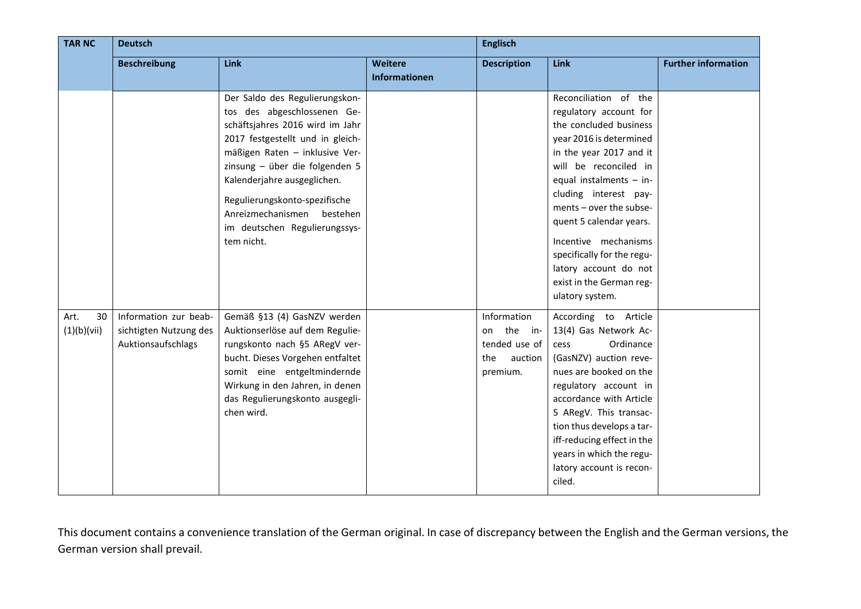| <b>TAR NC</b>             | <b>Deutsch</b>                                                        |                                                                                                                                                                                                                                                                                                                                                       |                                 | <b>Englisch</b>                                                             |                                                                                                                                                                                                                                                                                                                                                                                                  |                            |  |  |
|---------------------------|-----------------------------------------------------------------------|-------------------------------------------------------------------------------------------------------------------------------------------------------------------------------------------------------------------------------------------------------------------------------------------------------------------------------------------------------|---------------------------------|-----------------------------------------------------------------------------|--------------------------------------------------------------------------------------------------------------------------------------------------------------------------------------------------------------------------------------------------------------------------------------------------------------------------------------------------------------------------------------------------|----------------------------|--|--|
|                           | <b>Beschreibung</b>                                                   | Link                                                                                                                                                                                                                                                                                                                                                  | <b>Weitere</b><br>Informationen | <b>Description</b>                                                          | Link                                                                                                                                                                                                                                                                                                                                                                                             | <b>Further information</b> |  |  |
|                           |                                                                       | Der Saldo des Regulierungskon-<br>tos des abgeschlossenen Ge-<br>schäftsjahres 2016 wird im Jahr<br>2017 festgestellt und in gleich-<br>mäßigen Raten - inklusive Ver-<br>zinsung - über die folgenden 5<br>Kalenderjahre ausgeglichen.<br>Regulierungskonto-spezifische<br>Anreizmechanismen bestehen<br>im deutschen Regulierungssys-<br>tem nicht. |                                 |                                                                             | Reconciliation of the<br>regulatory account for<br>the concluded business<br>year 2016 is determined<br>in the year 2017 and it<br>will be reconciled in<br>equal instalments - in-<br>cluding interest pay-<br>ments - over the subse-<br>quent 5 calendar years.<br>Incentive mechanisms<br>specifically for the regu-<br>latory account do not<br>exist in the German reg-<br>ulatory system. |                            |  |  |
| 30<br>Art.<br>(1)(b)(vii) | Information zur beab-<br>sichtigten Nutzung des<br>Auktionsaufschlags | Gemäß §13 (4) GasNZV werden<br>Auktionserlöse auf dem Regulie-<br>rungskonto nach §5 ARegV ver-<br>bucht. Dieses Vorgehen entfaltet<br>somit eine entgeltmindernde<br>Wirkung in den Jahren, in denen<br>das Regulierungskonto ausgegli-<br>chen wird.                                                                                                |                                 | Information<br>the in-<br>on<br>tended use of<br>the<br>auction<br>premium. | According to Article<br>13(4) Gas Network Ac-<br>Ordinance<br>cess<br>(GasNZV) auction reve-<br>nues are booked on the<br>regulatory account in<br>accordance with Article<br>5 ARegV. This transac-<br>tion thus develops a tar-<br>iff-reducing effect in the<br>years in which the regu-<br>latory account is recon-<br>ciled.                                                                |                            |  |  |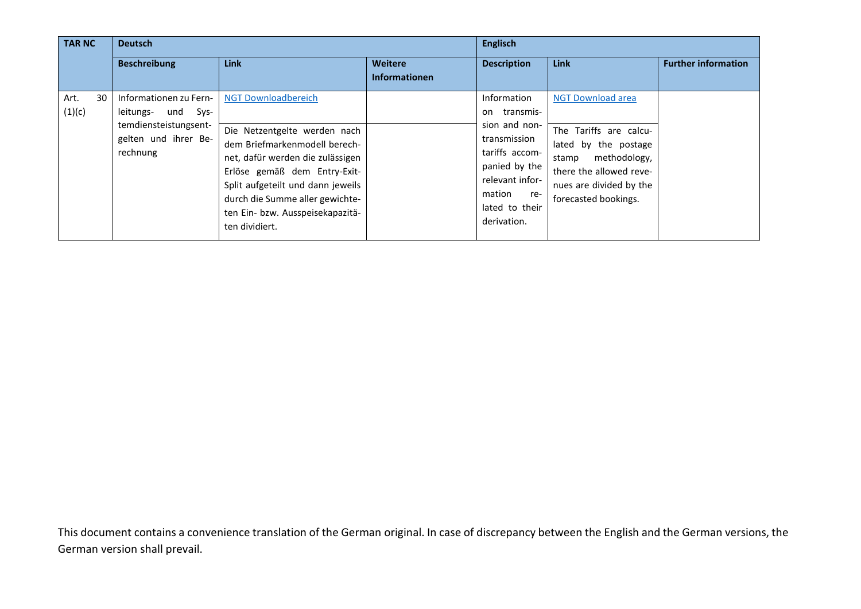| <b>TAR NC</b>  |    | <b>Deutsch</b>                                                                                            |                                                                                                                                                                                                                                                                                               |                                 | <b>Englisch</b>                                                                                                                                                      |                                                                                                                                                                                   |                            |
|----------------|----|-----------------------------------------------------------------------------------------------------------|-----------------------------------------------------------------------------------------------------------------------------------------------------------------------------------------------------------------------------------------------------------------------------------------------|---------------------------------|----------------------------------------------------------------------------------------------------------------------------------------------------------------------|-----------------------------------------------------------------------------------------------------------------------------------------------------------------------------------|----------------------------|
|                |    | <b>Beschreibung</b>                                                                                       | <b>Link</b>                                                                                                                                                                                                                                                                                   | Weitere<br><b>Informationen</b> | <b>Description</b>                                                                                                                                                   | <b>Link</b>                                                                                                                                                                       | <b>Further information</b> |
| Art.<br>(1)(c) | 30 | Informationen zu Fern-<br>leitungs- und Sys-<br>temdiensteistungsent-<br>gelten und ihrer Be-<br>rechnung | <b>NGT Downloadbereich</b><br>Die Netzentgelte werden nach<br>dem Briefmarkenmodell berech-<br>net, dafür werden die zulässigen<br>Erlöse gemäß dem Entry-Exit-<br>Split aufgeteilt und dann jeweils<br>durch die Summe aller gewichte-<br>ten Ein- bzw. Ausspeisekapazitä-<br>ten dividiert. |                                 | Information<br>on transmis-<br>sion and non-<br>transmission<br>tariffs accom-<br>panied by the<br>relevant infor-<br>mation<br>re-<br>lated to their<br>derivation. | <b>NGT Download area</b><br>The Tariffs are calcu-<br>lated by the postage<br>methodology,<br>stamp<br>there the allowed reve-<br>nues are divided by the<br>forecasted bookings. |                            |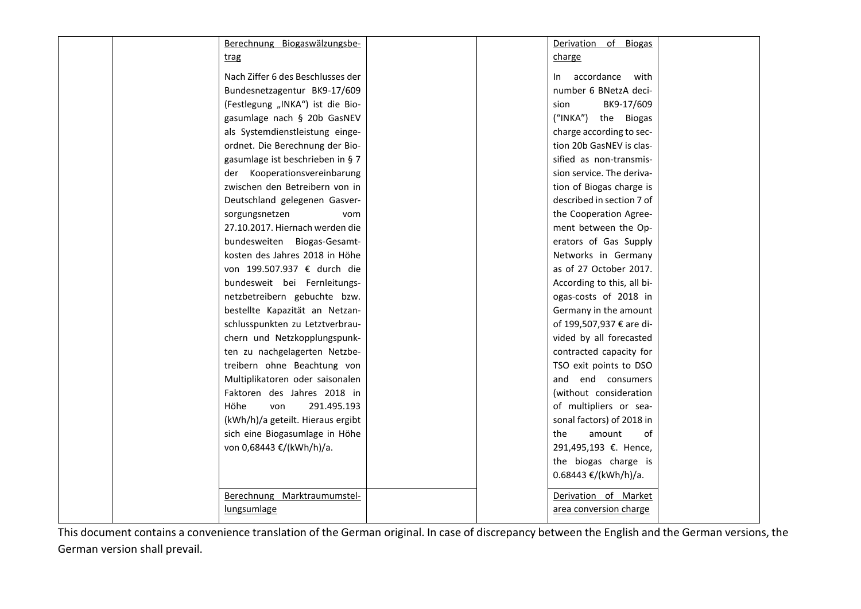|  | Berechnung Biogaswälzungsbe-      |  | Derivation of Biogas       |  |
|--|-----------------------------------|--|----------------------------|--|
|  | trag                              |  | charge                     |  |
|  | Nach Ziffer 6 des Beschlusses der |  | accordance with<br>In .    |  |
|  | Bundesnetzagentur BK9-17/609      |  | number 6 BNetzA deci-      |  |
|  | (Festlegung "INKA") ist die Bio-  |  | sion<br>BK9-17/609         |  |
|  | gasumlage nach § 20b GasNEV       |  | ("INKA") the Biogas        |  |
|  | als Systemdienstleistung einge-   |  | charge according to sec-   |  |
|  | ordnet. Die Berechnung der Bio-   |  | tion 20b GasNEV is clas-   |  |
|  | gasumlage ist beschrieben in § 7  |  | sified as non-transmis-    |  |
|  | der Kooperationsvereinbarung      |  | sion service. The deriva-  |  |
|  | zwischen den Betreibern von in    |  | tion of Biogas charge is   |  |
|  | Deutschland gelegenen Gasver-     |  | described in section 7 of  |  |
|  | sorgungsnetzen<br>vom             |  | the Cooperation Agree-     |  |
|  | 27.10.2017. Hiernach werden die   |  | ment between the Op-       |  |
|  | bundesweiten Biogas-Gesamt-       |  | erators of Gas Supply      |  |
|  | kosten des Jahres 2018 in Höhe    |  | Networks in Germany        |  |
|  | von 199.507.937 € durch die       |  | as of 27 October 2017.     |  |
|  | bundesweit bei Fernleitungs-      |  | According to this, all bi- |  |
|  | netzbetreibern gebuchte bzw.      |  | ogas-costs of 2018 in      |  |
|  | bestellte Kapazität an Netzan-    |  | Germany in the amount      |  |
|  | schlusspunkten zu Letztverbrau-   |  | of 199,507,937 € are di-   |  |
|  | chern und Netzkopplungspunk-      |  | vided by all forecasted    |  |
|  | ten zu nachgelagerten Netzbe-     |  | contracted capacity for    |  |
|  | treibern ohne Beachtung von       |  | TSO exit points to DSO     |  |
|  | Multiplikatoren oder saisonalen   |  | and end consumers          |  |
|  | Faktoren des Jahres 2018 in       |  | (without consideration     |  |
|  | Höhe<br>von<br>291.495.193        |  | of multipliers or sea-     |  |
|  | (kWh/h)/a geteilt. Hieraus ergibt |  | sonal factors) of 2018 in  |  |
|  | sich eine Biogasumlage in Höhe    |  | amount<br>the<br>οf        |  |
|  | von 0,68443 €/(kWh/h)/a.          |  | 291,495,193 €. Hence,      |  |
|  |                                   |  | the biogas charge is       |  |
|  |                                   |  | 0.68443 €/(kWh/h)/a.       |  |
|  | Berechnung Marktraumumstel-       |  | Derivation of Market       |  |
|  | lungsumlage                       |  | area conversion charge     |  |
|  |                                   |  |                            |  |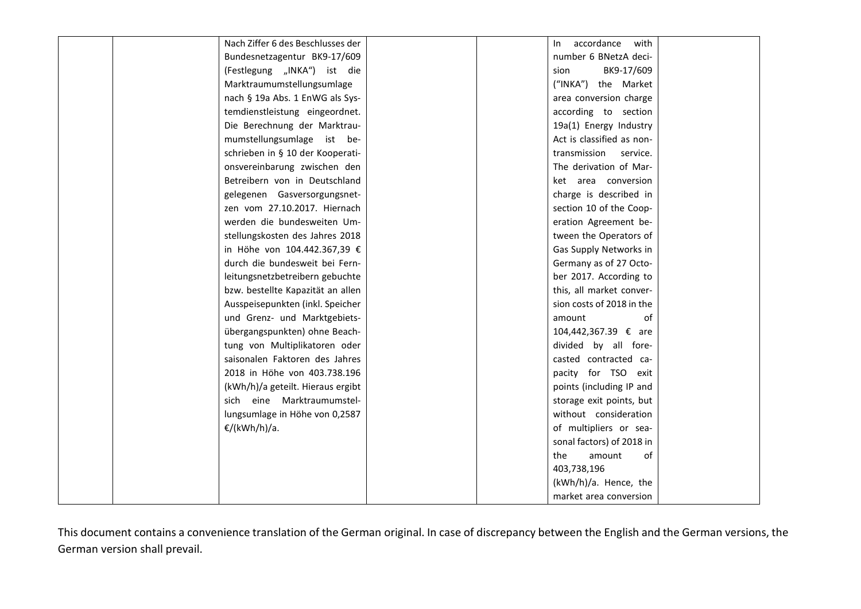| Nach Ziffer 6 des Beschlusses der | accordance<br>with<br>In. |  |
|-----------------------------------|---------------------------|--|
| Bundesnetzagentur BK9-17/609      | number 6 BNetzA deci-     |  |
| (Festlegung "INKA") ist die       | BK9-17/609<br>sion        |  |
| Marktraumumstellungsumlage        | ("INKA") the Market       |  |
| nach § 19a Abs. 1 EnWG als Sys-   | area conversion charge    |  |
| temdienstleistung eingeordnet.    | according to section      |  |
| Die Berechnung der Marktrau-      | 19a(1) Energy Industry    |  |
| mumstellungsumlage ist be-        | Act is classified as non- |  |
| schrieben in § 10 der Kooperati-  | transmission<br>service.  |  |
| onsvereinbarung zwischen den      | The derivation of Mar-    |  |
| Betreibern von in Deutschland     | ket area conversion       |  |
| gelegenen Gasversorgungsnet-      | charge is described in    |  |
| zen vom 27.10.2017. Hiernach      | section 10 of the Coop-   |  |
| werden die bundesweiten Um-       | eration Agreement be-     |  |
| stellungskosten des Jahres 2018   | tween the Operators of    |  |
| in Höhe von 104.442.367,39 €      | Gas Supply Networks in    |  |
| durch die bundesweit bei Fern-    | Germany as of 27 Octo-    |  |
| leitungsnetzbetreibern gebuchte   | ber 2017. According to    |  |
| bzw. bestellte Kapazität an allen | this, all market conver-  |  |
| Ausspeisepunkten (inkl. Speicher  | sion costs of 2018 in the |  |
| und Grenz- und Marktgebiets-      | amount<br>οf              |  |
| übergangspunkten) ohne Beach-     | 104,442,367.39 € are      |  |
| tung von Multiplikatoren oder     | divided by all fore-      |  |
| saisonalen Faktoren des Jahres    | casted contracted ca-     |  |
| 2018 in Höhe von 403.738.196      | pacity for TSO exit       |  |
| (kWh/h)/a geteilt. Hieraus ergibt | points (including IP and  |  |
| sich eine Marktraumumstel-        | storage exit points, but  |  |
| lungsumlage in Höhe von 0,2587    | without consideration     |  |
| €/(kWh/h)/a.                      | of multipliers or sea-    |  |
|                                   | sonal factors) of 2018 in |  |
|                                   | the<br>amount<br>of       |  |
|                                   | 403,738,196               |  |
|                                   | (kWh/h)/a. Hence, the     |  |
|                                   | market area conversion    |  |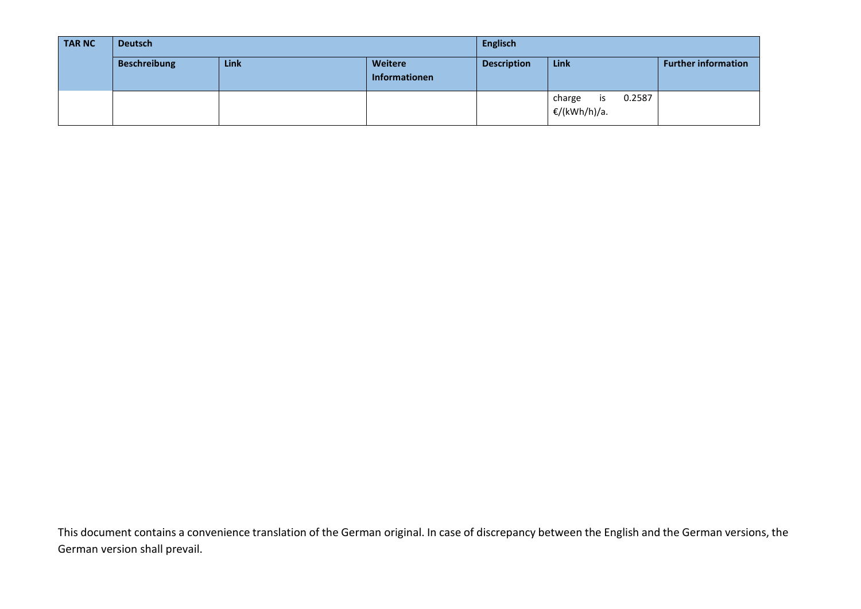| <b>TAR NC</b> | <b>Deutsch</b>      |      |                                 | <b>Englisch</b>    |                                        |                            |
|---------------|---------------------|------|---------------------------------|--------------------|----------------------------------------|----------------------------|
|               | <b>Beschreibung</b> | Link | <b>Weitere</b><br>Informationen | <b>Description</b> | Link                                   | <b>Further information</b> |
|               |                     |      |                                 |                    | 0.2587<br>charge<br>is<br>€/(kWh/h)/a. |                            |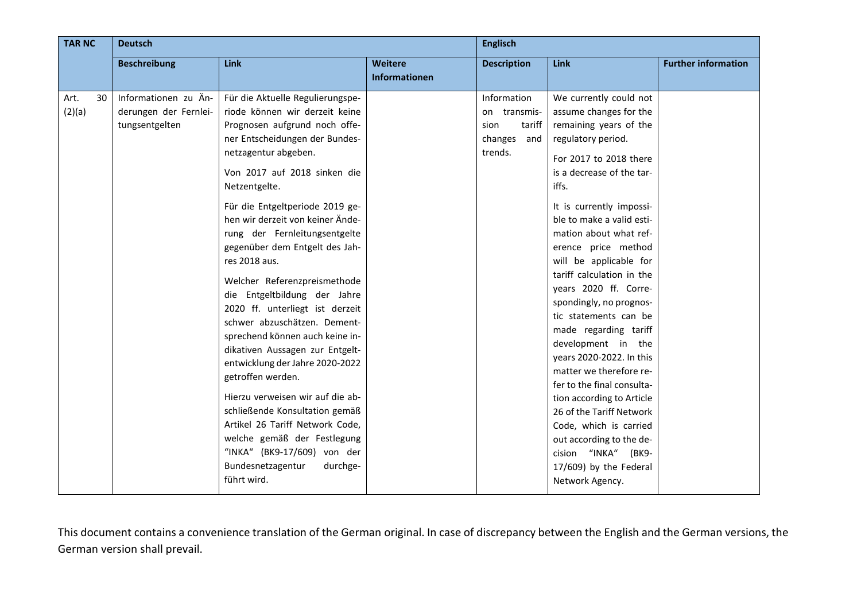| <b>TAR NC</b>        | <b>Deutsch</b>                                                  |                                                                                                                                                                                                                                                                                                                                                                                                                                                                                                                                                                                                                                                                                                                                                                                                                                                                   |                          | <b>Englisch</b>                                                            |                                                                                                                                                                                                                                                                                                                                                                                                                                                                                                                                                                                                                                                                                                                                       |                            |
|----------------------|-----------------------------------------------------------------|-------------------------------------------------------------------------------------------------------------------------------------------------------------------------------------------------------------------------------------------------------------------------------------------------------------------------------------------------------------------------------------------------------------------------------------------------------------------------------------------------------------------------------------------------------------------------------------------------------------------------------------------------------------------------------------------------------------------------------------------------------------------------------------------------------------------------------------------------------------------|--------------------------|----------------------------------------------------------------------------|---------------------------------------------------------------------------------------------------------------------------------------------------------------------------------------------------------------------------------------------------------------------------------------------------------------------------------------------------------------------------------------------------------------------------------------------------------------------------------------------------------------------------------------------------------------------------------------------------------------------------------------------------------------------------------------------------------------------------------------|----------------------------|
|                      | <b>Beschreibung</b>                                             | <b>Link</b>                                                                                                                                                                                                                                                                                                                                                                                                                                                                                                                                                                                                                                                                                                                                                                                                                                                       | Weitere<br>Informationen | <b>Description</b>                                                         | Link                                                                                                                                                                                                                                                                                                                                                                                                                                                                                                                                                                                                                                                                                                                                  | <b>Further information</b> |
| Art.<br>30<br>(2)(a) | Informationen zu Än-<br>derungen der Fernlei-<br>tungsentgelten | Für die Aktuelle Regulierungspe-<br>riode können wir derzeit keine<br>Prognosen aufgrund noch offe-<br>ner Entscheidungen der Bundes-<br>netzagentur abgeben.<br>Von 2017 auf 2018 sinken die<br>Netzentgelte.<br>Für die Entgeltperiode 2019 ge-<br>hen wir derzeit von keiner Ände-<br>rung der Fernleitungsentgelte<br>gegenüber dem Entgelt des Jah-<br>res 2018 aus.<br>Welcher Referenzpreismethode<br>die Entgeltbildung der Jahre<br>2020 ff. unterliegt ist derzeit<br>schwer abzuschätzen. Dement-<br>sprechend können auch keine in-<br>dikativen Aussagen zur Entgelt-<br>entwicklung der Jahre 2020-2022<br>getroffen werden.<br>Hierzu verweisen wir auf die ab-<br>schließende Konsultation gemäß<br>Artikel 26 Tariff Network Code,<br>welche gemäß der Festlegung<br>"INKA" (BK9-17/609) von der<br>Bundesnetzagentur<br>durchge-<br>führt wird. |                          | Information<br>on transmis-<br>tariff<br>sion<br>changes<br>and<br>trends. | We currently could not<br>assume changes for the<br>remaining years of the<br>regulatory period.<br>For 2017 to 2018 there<br>is a decrease of the tar-<br>iffs.<br>It is currently impossi-<br>ble to make a valid esti-<br>mation about what ref-<br>erence price method<br>will be applicable for<br>tariff calculation in the<br>years 2020 ff. Corre-<br>spondingly, no prognos-<br>tic statements can be<br>made regarding tariff<br>development in the<br>years 2020-2022. In this<br>matter we therefore re-<br>fer to the final consulta-<br>tion according to Article<br>26 of the Tariff Network<br>Code, which is carried<br>out according to the de-<br>cision "INKA" (BK9-<br>17/609) by the Federal<br>Network Agency. |                            |